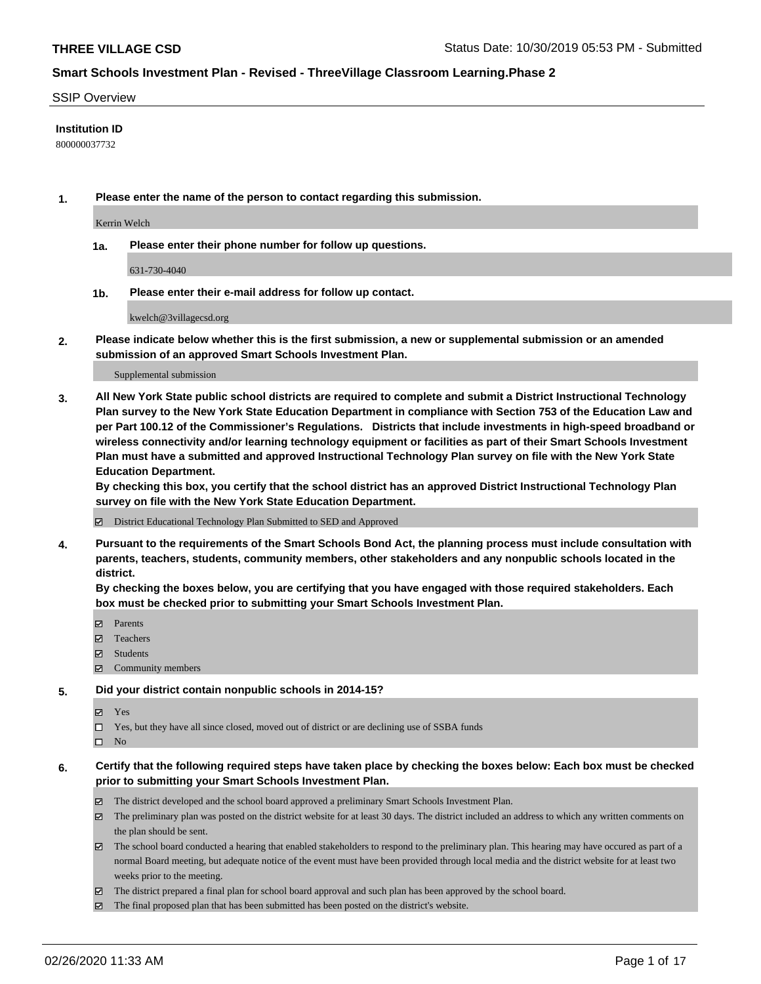### SSIP Overview

### **Institution ID**

800000037732

**1. Please enter the name of the person to contact regarding this submission.**

Kerrin Welch

**1a. Please enter their phone number for follow up questions.**

631-730-4040

**1b. Please enter their e-mail address for follow up contact.**

kwelch@3villagecsd.org

**2. Please indicate below whether this is the first submission, a new or supplemental submission or an amended submission of an approved Smart Schools Investment Plan.**

#### Supplemental submission

**3. All New York State public school districts are required to complete and submit a District Instructional Technology Plan survey to the New York State Education Department in compliance with Section 753 of the Education Law and per Part 100.12 of the Commissioner's Regulations. Districts that include investments in high-speed broadband or wireless connectivity and/or learning technology equipment or facilities as part of their Smart Schools Investment Plan must have a submitted and approved Instructional Technology Plan survey on file with the New York State Education Department.** 

**By checking this box, you certify that the school district has an approved District Instructional Technology Plan survey on file with the New York State Education Department.**

District Educational Technology Plan Submitted to SED and Approved

**4. Pursuant to the requirements of the Smart Schools Bond Act, the planning process must include consultation with parents, teachers, students, community members, other stakeholders and any nonpublic schools located in the district.** 

**By checking the boxes below, you are certifying that you have engaged with those required stakeholders. Each box must be checked prior to submitting your Smart Schools Investment Plan.**

- **マ** Parents
- Teachers
- Students
- Community members

#### **5. Did your district contain nonpublic schools in 2014-15?**

**冈** Yes

Yes, but they have all since closed, moved out of district or are declining use of SSBA funds

 $\square$  No

- **6. Certify that the following required steps have taken place by checking the boxes below: Each box must be checked prior to submitting your Smart Schools Investment Plan.**
	- The district developed and the school board approved a preliminary Smart Schools Investment Plan.
	- $\boxtimes$  The preliminary plan was posted on the district website for at least 30 days. The district included an address to which any written comments on the plan should be sent.
	- $\boxtimes$  The school board conducted a hearing that enabled stakeholders to respond to the preliminary plan. This hearing may have occured as part of a normal Board meeting, but adequate notice of the event must have been provided through local media and the district website for at least two weeks prior to the meeting.
	- The district prepared a final plan for school board approval and such plan has been approved by the school board.
	- $\boxtimes$  The final proposed plan that has been submitted has been posted on the district's website.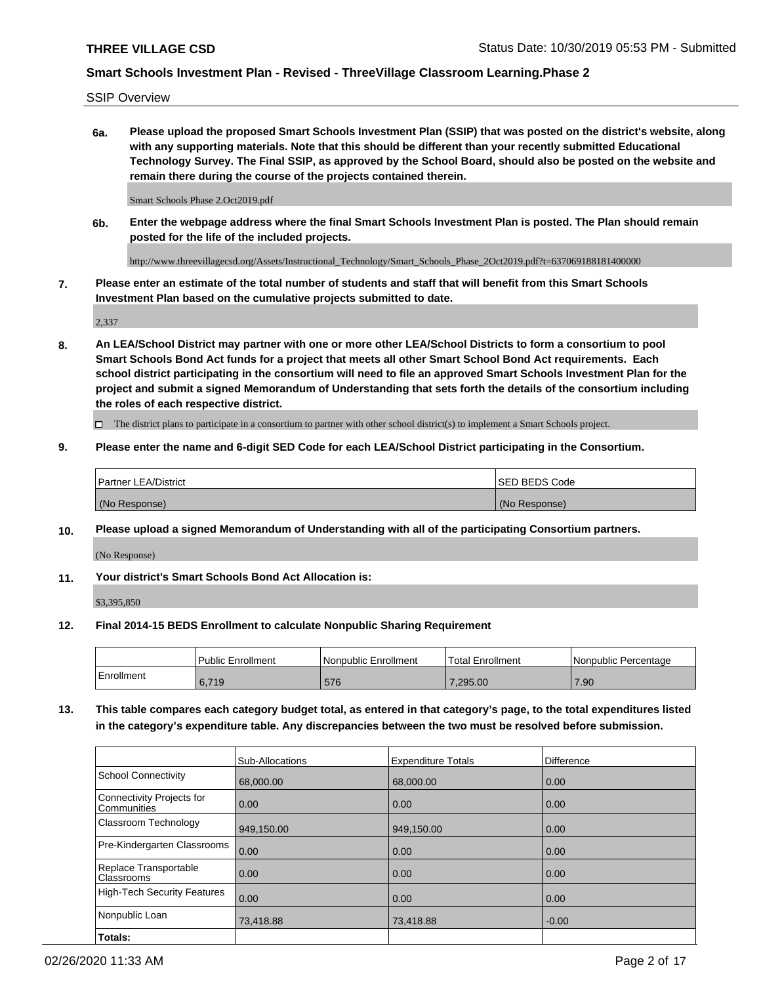SSIP Overview

**6a. Please upload the proposed Smart Schools Investment Plan (SSIP) that was posted on the district's website, along with any supporting materials. Note that this should be different than your recently submitted Educational Technology Survey. The Final SSIP, as approved by the School Board, should also be posted on the website and remain there during the course of the projects contained therein.**

Smart Schools Phase 2.Oct2019.pdf

**6b. Enter the webpage address where the final Smart Schools Investment Plan is posted. The Plan should remain posted for the life of the included projects.**

http://www.threevillagecsd.org/Assets/Instructional\_Technology/Smart\_Schools\_Phase\_2Oct2019.pdf?t=637069188181400000

**7. Please enter an estimate of the total number of students and staff that will benefit from this Smart Schools Investment Plan based on the cumulative projects submitted to date.**

2,337

**8. An LEA/School District may partner with one or more other LEA/School Districts to form a consortium to pool Smart Schools Bond Act funds for a project that meets all other Smart School Bond Act requirements. Each school district participating in the consortium will need to file an approved Smart Schools Investment Plan for the project and submit a signed Memorandum of Understanding that sets forth the details of the consortium including the roles of each respective district.**

 $\Box$  The district plans to participate in a consortium to partner with other school district(s) to implement a Smart Schools project.

### **9. Please enter the name and 6-digit SED Code for each LEA/School District participating in the Consortium.**

| <sup>1</sup> Partner LEA/District | <b>ISED BEDS Code</b> |
|-----------------------------------|-----------------------|
| (No Response)                     | (No Response)         |

## **10. Please upload a signed Memorandum of Understanding with all of the participating Consortium partners.**

(No Response)

## **11. Your district's Smart Schools Bond Act Allocation is:**

\$3,395,850

#### **12. Final 2014-15 BEDS Enrollment to calculate Nonpublic Sharing Requirement**

|            | Public Enrollment | Nonpublic Enrollment | Total Enrollment | l Nonpublic Percentage |
|------------|-------------------|----------------------|------------------|------------------------|
| Enrollment | .719<br>υ, ι      | 576                  | .295.00          | .90 <sub>2</sub>       |

**13. This table compares each category budget total, as entered in that category's page, to the total expenditures listed in the category's expenditure table. Any discrepancies between the two must be resolved before submission.**

|                                          | Sub-Allocations | <b>Expenditure Totals</b> | <b>Difference</b> |
|------------------------------------------|-----------------|---------------------------|-------------------|
| <b>School Connectivity</b>               | 68,000.00       | 68,000.00                 | 0.00              |
| Connectivity Projects for<br>Communities | 0.00            | 0.00                      | 0.00              |
| Classroom Technology                     | 949,150.00      | 949,150.00                | 0.00              |
| Pre-Kindergarten Classrooms              | 0.00            | 0.00                      | 0.00              |
| Replace Transportable<br>Classrooms      | 0.00            | 0.00                      | 0.00              |
| <b>High-Tech Security Features</b>       | 0.00            | 0.00                      | 0.00              |
| Nonpublic Loan                           | 73,418.88       | 73,418.88                 | $-0.00$           |
| Totals:                                  |                 |                           |                   |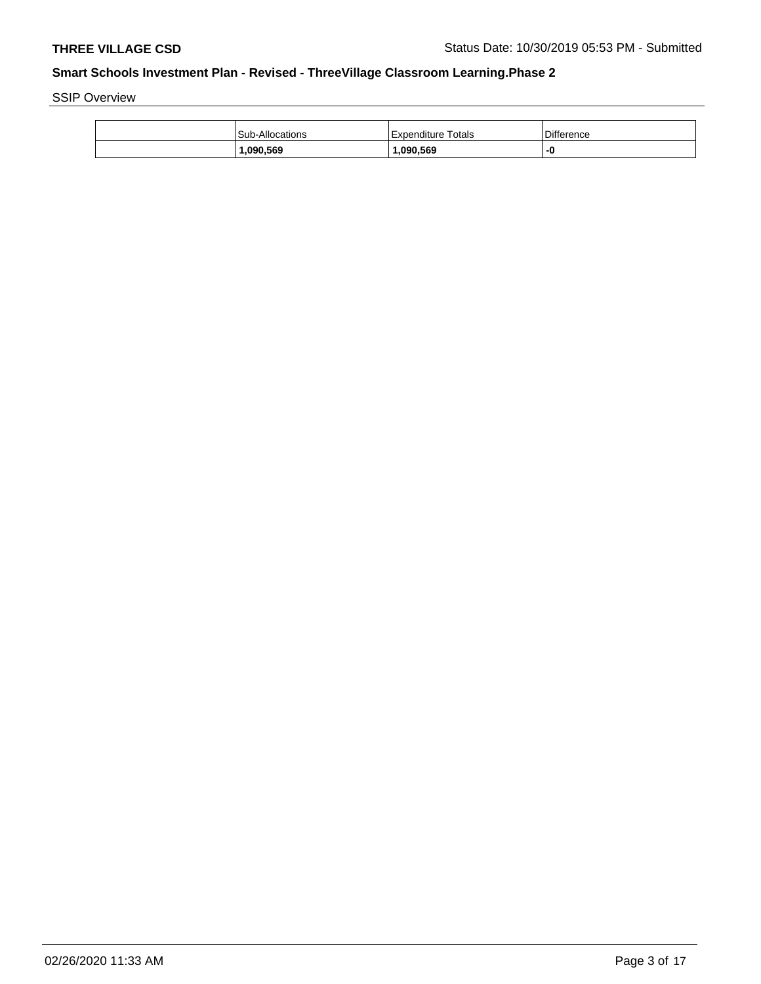SSIP Overview

| Sub-Allocations | Expenditure Totals | <b>Difference</b> |
|-----------------|--------------------|-------------------|
| .090.569        | 1.090.569          |                   |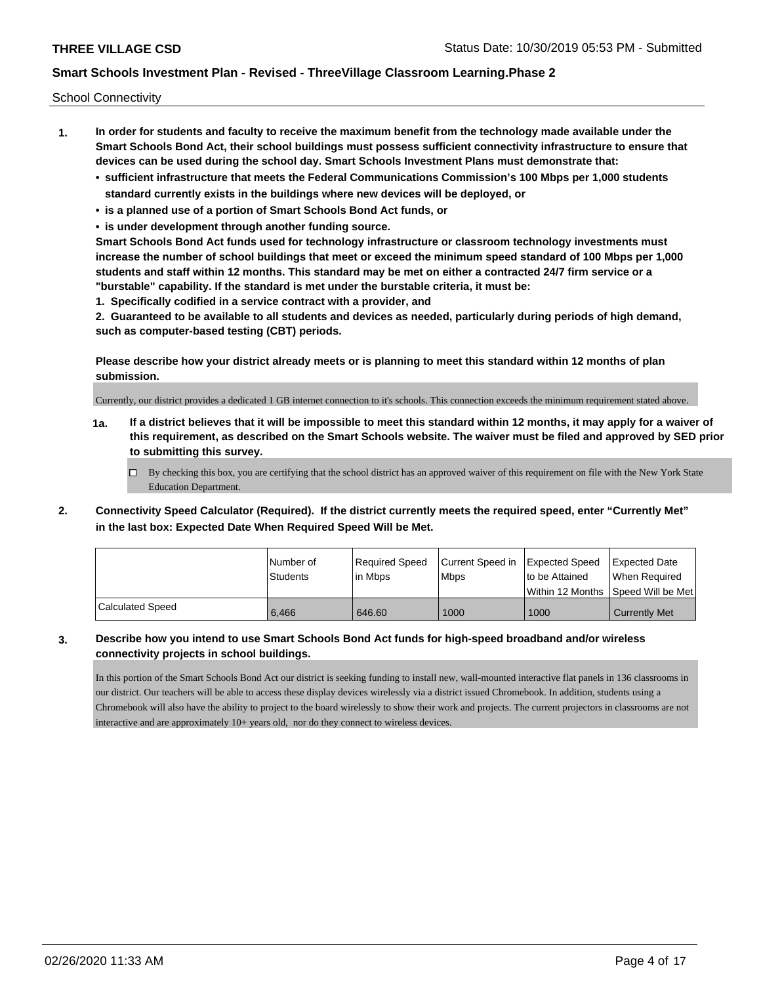School Connectivity

- **1. In order for students and faculty to receive the maximum benefit from the technology made available under the Smart Schools Bond Act, their school buildings must possess sufficient connectivity infrastructure to ensure that devices can be used during the school day. Smart Schools Investment Plans must demonstrate that:**
	- **• sufficient infrastructure that meets the Federal Communications Commission's 100 Mbps per 1,000 students standard currently exists in the buildings where new devices will be deployed, or**
	- **• is a planned use of a portion of Smart Schools Bond Act funds, or**
	- **• is under development through another funding source.**

**Smart Schools Bond Act funds used for technology infrastructure or classroom technology investments must increase the number of school buildings that meet or exceed the minimum speed standard of 100 Mbps per 1,000 students and staff within 12 months. This standard may be met on either a contracted 24/7 firm service or a "burstable" capability. If the standard is met under the burstable criteria, it must be:**

**1. Specifically codified in a service contract with a provider, and**

**2. Guaranteed to be available to all students and devices as needed, particularly during periods of high demand, such as computer-based testing (CBT) periods.**

**Please describe how your district already meets or is planning to meet this standard within 12 months of plan submission.**

Currently, our district provides a dedicated 1 GB internet connection to it's schools. This connection exceeds the minimum requirement stated above.

**1a. If a district believes that it will be impossible to meet this standard within 12 months, it may apply for a waiver of this requirement, as described on the Smart Schools website. The waiver must be filed and approved by SED prior to submitting this survey.**

 $\Box$  By checking this box, you are certifying that the school district has an approved waiver of this requirement on file with the New York State Education Department.

**2. Connectivity Speed Calculator (Required). If the district currently meets the required speed, enter "Currently Met" in the last box: Expected Date When Required Speed Will be Met.**

|                  | l Number of<br>Students | Required Speed<br>l in Mbps | Current Speed in<br><b>Mbps</b> | Expected Speed<br>to be Attained | <b>Expected Date</b><br>When Reauired |
|------------------|-------------------------|-----------------------------|---------------------------------|----------------------------------|---------------------------------------|
|                  |                         |                             |                                 |                                  | Within 12 Months ISpeed Will be Met   |
| Calculated Speed | 6.466                   | 646.60                      | 1000                            | 1000                             | <b>Currently Met</b>                  |

## **3. Describe how you intend to use Smart Schools Bond Act funds for high-speed broadband and/or wireless connectivity projects in school buildings.**

In this portion of the Smart Schools Bond Act our district is seeking funding to install new, wall-mounted interactive flat panels in 136 classrooms in our district. Our teachers will be able to access these display devices wirelessly via a district issued Chromebook. In addition, students using a Chromebook will also have the ability to project to the board wirelessly to show their work and projects. The current projectors in classrooms are not interactive and are approximately 10+ years old, nor do they connect to wireless devices.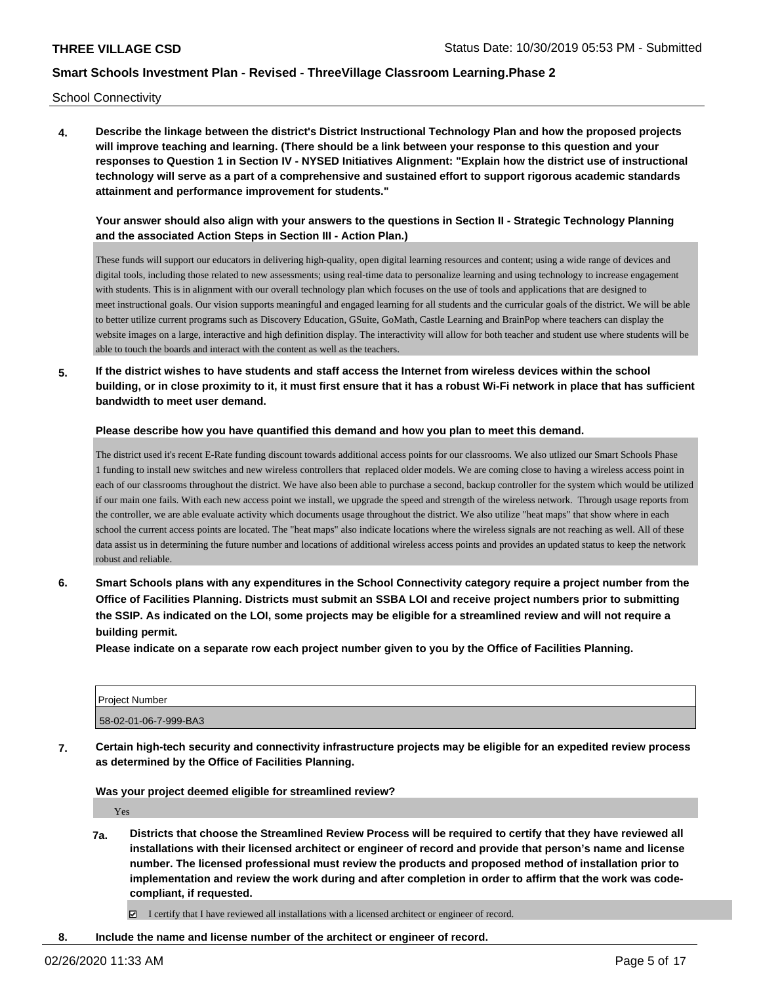School Connectivity

**4. Describe the linkage between the district's District Instructional Technology Plan and how the proposed projects will improve teaching and learning. (There should be a link between your response to this question and your responses to Question 1 in Section IV - NYSED Initiatives Alignment: "Explain how the district use of instructional technology will serve as a part of a comprehensive and sustained effort to support rigorous academic standards attainment and performance improvement for students."** 

## **Your answer should also align with your answers to the questions in Section II - Strategic Technology Planning and the associated Action Steps in Section III - Action Plan.)**

These funds will support our educators in delivering high-quality, open digital learning resources and content; using a wide range of devices and digital tools, including those related to new assessments; using real-time data to personalize learning and using technology to increase engagement with students. This is in alignment with our overall technology plan which focuses on the use of tools and applications that are designed to meet instructional goals. Our vision supports meaningful and engaged learning for all students and the curricular goals of the district. We will be able to better utilize current programs such as Discovery Education, GSuite, GoMath, Castle Learning and BrainPop where teachers can display the website images on a large, interactive and high definition display. The interactivity will allow for both teacher and student use where students will be able to touch the boards and interact with the content as well as the teachers.

**5. If the district wishes to have students and staff access the Internet from wireless devices within the school building, or in close proximity to it, it must first ensure that it has a robust Wi-Fi network in place that has sufficient bandwidth to meet user demand.**

#### **Please describe how you have quantified this demand and how you plan to meet this demand.**

The district used it's recent E-Rate funding discount towards additional access points for our classrooms. We also utlized our Smart Schools Phase 1 funding to install new switches and new wireless controllers that replaced older models. We are coming close to having a wireless access point in each of our classrooms throughout the district. We have also been able to purchase a second, backup controller for the system which would be utilized if our main one fails. With each new access point we install, we upgrade the speed and strength of the wireless network. Through usage reports from the controller, we are able evaluate activity which documents usage throughout the district. We also utilize "heat maps" that show where in each school the current access points are located. The "heat maps" also indicate locations where the wireless signals are not reaching as well. All of these data assist us in determining the future number and locations of additional wireless access points and provides an updated status to keep the network robust and reliable.

**6. Smart Schools plans with any expenditures in the School Connectivity category require a project number from the Office of Facilities Planning. Districts must submit an SSBA LOI and receive project numbers prior to submitting the SSIP. As indicated on the LOI, some projects may be eligible for a streamlined review and will not require a building permit.**

**Please indicate on a separate row each project number given to you by the Office of Facilities Planning.**

| <b>Project Number</b> |  |
|-----------------------|--|
| 58-02-01-06-7-999-BA3 |  |

**7. Certain high-tech security and connectivity infrastructure projects may be eligible for an expedited review process as determined by the Office of Facilities Planning.**

**Was your project deemed eligible for streamlined review?**

Yes

**7a. Districts that choose the Streamlined Review Process will be required to certify that they have reviewed all installations with their licensed architect or engineer of record and provide that person's name and license number. The licensed professional must review the products and proposed method of installation prior to implementation and review the work during and after completion in order to affirm that the work was codecompliant, if requested.**

 $\boxtimes$  I certify that I have reviewed all installations with a licensed architect or engineer of record.

**8. Include the name and license number of the architect or engineer of record.**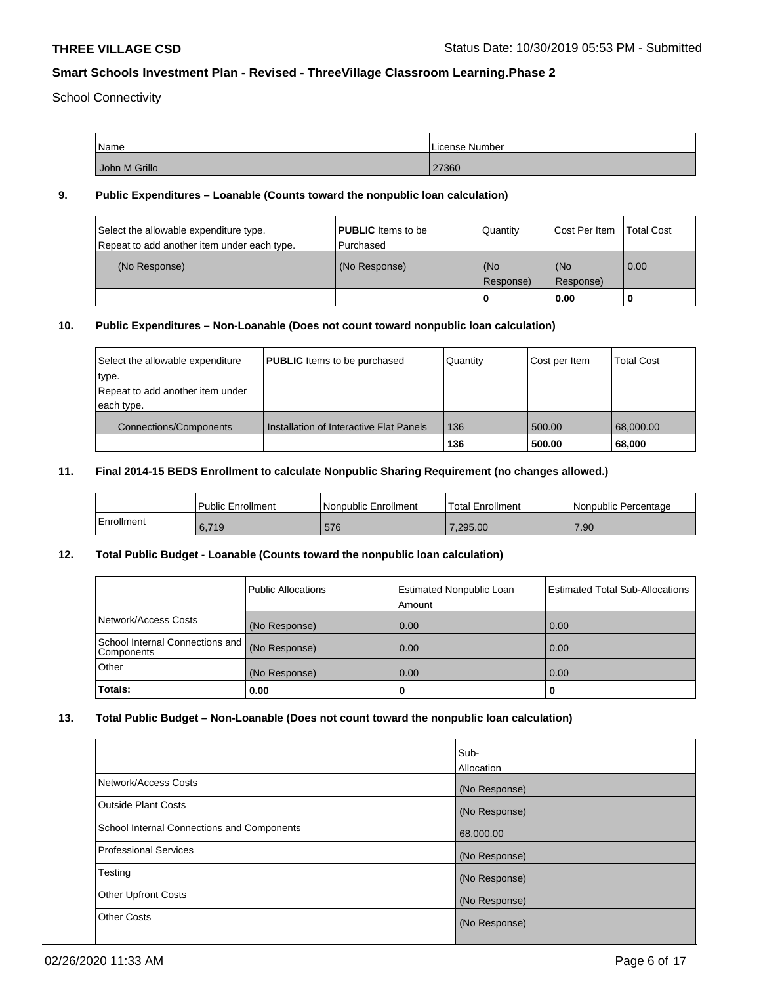School Connectivity

| Name          | License Number |
|---------------|----------------|
| John M Grillo | 27360          |

## **9. Public Expenditures – Loanable (Counts toward the nonpublic loan calculation)**

| Select the allowable expenditure type.<br>Repeat to add another item under each type. | <b>PUBLIC</b> Items to be<br>Purchased | Quantity         | <b>Cost Per Item</b> | <b>Total Cost</b> |
|---------------------------------------------------------------------------------------|----------------------------------------|------------------|----------------------|-------------------|
| (No Response)                                                                         | (No Response)                          | (No<br>Response) | l (No<br>Response)   | 0.00              |
|                                                                                       |                                        | 0                | 0.00                 |                   |

# **10. Public Expenditures – Non-Loanable (Does not count toward nonpublic loan calculation)**

| Select the allowable expenditure<br>type.<br>Repeat to add another item under<br>each type. | <b>PUBLIC</b> Items to be purchased     | Quantity | Cost per Item | <b>Total Cost</b> |
|---------------------------------------------------------------------------------------------|-----------------------------------------|----------|---------------|-------------------|
| Connections/Components                                                                      | Installation of Interactive Flat Panels | 136      | 500.00        | 68,000.00         |
|                                                                                             |                                         | 136      | 500.00        | 68,000            |

## **11. Final 2014-15 BEDS Enrollment to calculate Nonpublic Sharing Requirement (no changes allowed.)**

|            | <b>Public Enrollment</b> | Nonpublic Enrollment | <b>Total Enrollment</b> | l Nonpublic Percentage |
|------------|--------------------------|----------------------|-------------------------|------------------------|
| Enrollment | 6.719                    | 576                  | 7.295.00                | 7.90                   |

## **12. Total Public Budget - Loanable (Counts toward the nonpublic loan calculation)**

|                                               | Public Allocations | <b>Estimated Nonpublic Loan</b><br>Amount | <b>Estimated Total Sub-Allocations</b> |
|-----------------------------------------------|--------------------|-------------------------------------------|----------------------------------------|
| Network/Access Costs                          | (No Response)      | 0.00                                      | 0.00                                   |
| School Internal Connections and<br>Components | (No Response)      | 0.00                                      | 0.00                                   |
| Other                                         | (No Response)      | 0.00                                      | 0.00                                   |
| Totals:                                       | 0.00               | 0                                         |                                        |

## **13. Total Public Budget – Non-Loanable (Does not count toward the nonpublic loan calculation)**

|                                            | Sub-<br><b>Allocation</b> |
|--------------------------------------------|---------------------------|
| Network/Access Costs                       | (No Response)             |
| <b>Outside Plant Costs</b>                 | (No Response)             |
| School Internal Connections and Components | 68,000.00                 |
| <b>Professional Services</b>               | (No Response)             |
| Testing                                    | (No Response)             |
| <b>Other Upfront Costs</b>                 | (No Response)             |
| <b>Other Costs</b>                         | (No Response)             |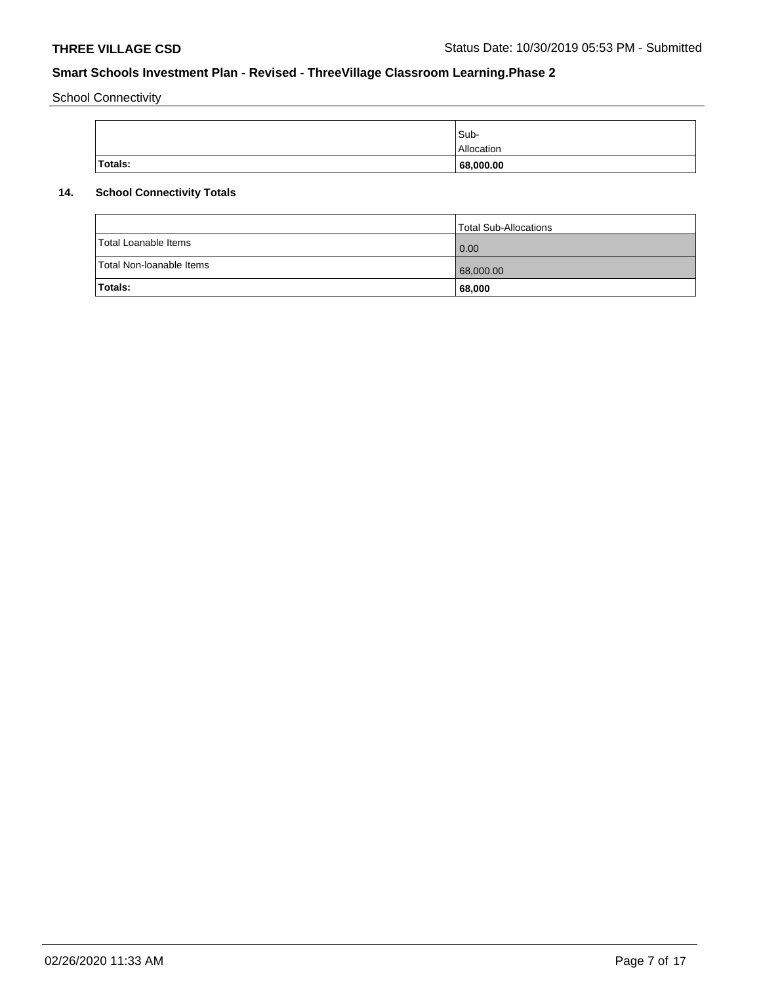School Connectivity

|         | Sub-       |
|---------|------------|
|         | Allocation |
| Totals: | 68,000.00  |

# **14. School Connectivity Totals**

|                          | Total Sub-Allocations |
|--------------------------|-----------------------|
| Total Loanable Items     | 0.00                  |
| Total Non-Ioanable Items | 68,000.00             |
| Totals:                  | 68,000                |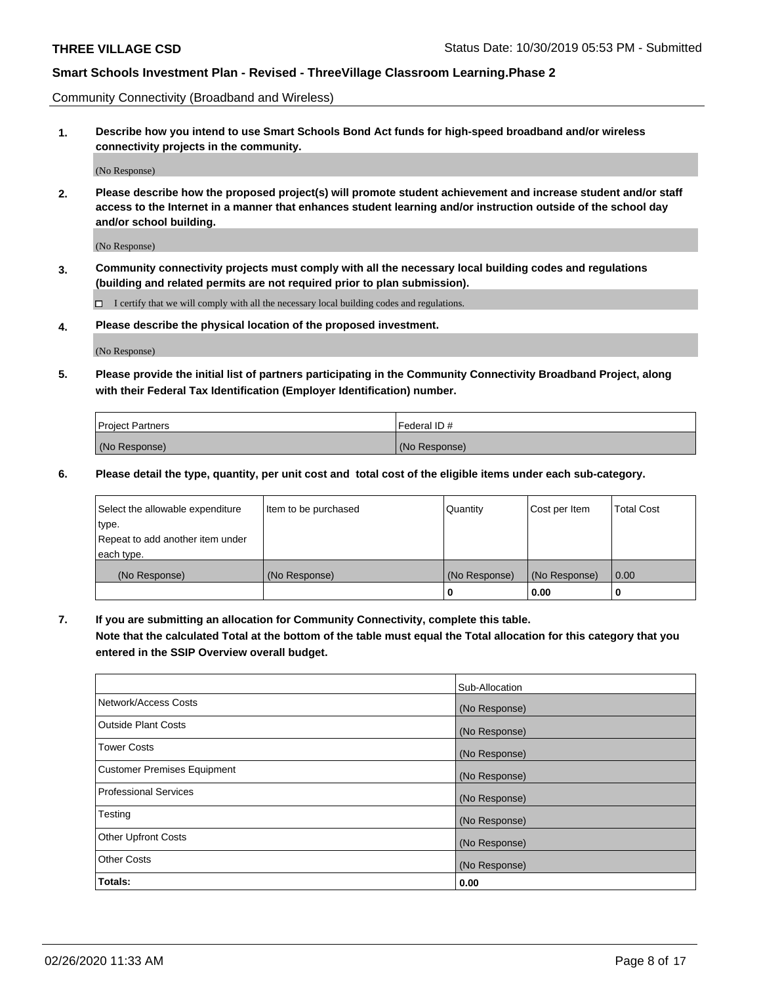Community Connectivity (Broadband and Wireless)

**1. Describe how you intend to use Smart Schools Bond Act funds for high-speed broadband and/or wireless connectivity projects in the community.**

(No Response)

**2. Please describe how the proposed project(s) will promote student achievement and increase student and/or staff access to the Internet in a manner that enhances student learning and/or instruction outside of the school day and/or school building.**

(No Response)

**3. Community connectivity projects must comply with all the necessary local building codes and regulations (building and related permits are not required prior to plan submission).**

 $\Box$  I certify that we will comply with all the necessary local building codes and regulations.

**4. Please describe the physical location of the proposed investment.**

(No Response)

**5. Please provide the initial list of partners participating in the Community Connectivity Broadband Project, along with their Federal Tax Identification (Employer Identification) number.**

| <b>Project Partners</b> | l Federal ID # |
|-------------------------|----------------|
| (No Response)           | (No Response)  |

**6. Please detail the type, quantity, per unit cost and total cost of the eligible items under each sub-category.**

| Select the allowable expenditure | Item to be purchased | Quantity      | Cost per Item | <b>Total Cost</b> |
|----------------------------------|----------------------|---------------|---------------|-------------------|
| type.                            |                      |               |               |                   |
| Repeat to add another item under |                      |               |               |                   |
| each type.                       |                      |               |               |                   |
| (No Response)                    | (No Response)        | (No Response) | (No Response) | 0.00              |
|                                  |                      | o             | 0.00          |                   |

**7. If you are submitting an allocation for Community Connectivity, complete this table.**

**Note that the calculated Total at the bottom of the table must equal the Total allocation for this category that you entered in the SSIP Overview overall budget.**

|                                    | Sub-Allocation |
|------------------------------------|----------------|
| Network/Access Costs               | (No Response)  |
| Outside Plant Costs                | (No Response)  |
| <b>Tower Costs</b>                 | (No Response)  |
| <b>Customer Premises Equipment</b> | (No Response)  |
| <b>Professional Services</b>       | (No Response)  |
| Testing                            | (No Response)  |
| <b>Other Upfront Costs</b>         | (No Response)  |
| <b>Other Costs</b>                 | (No Response)  |
| Totals:                            | 0.00           |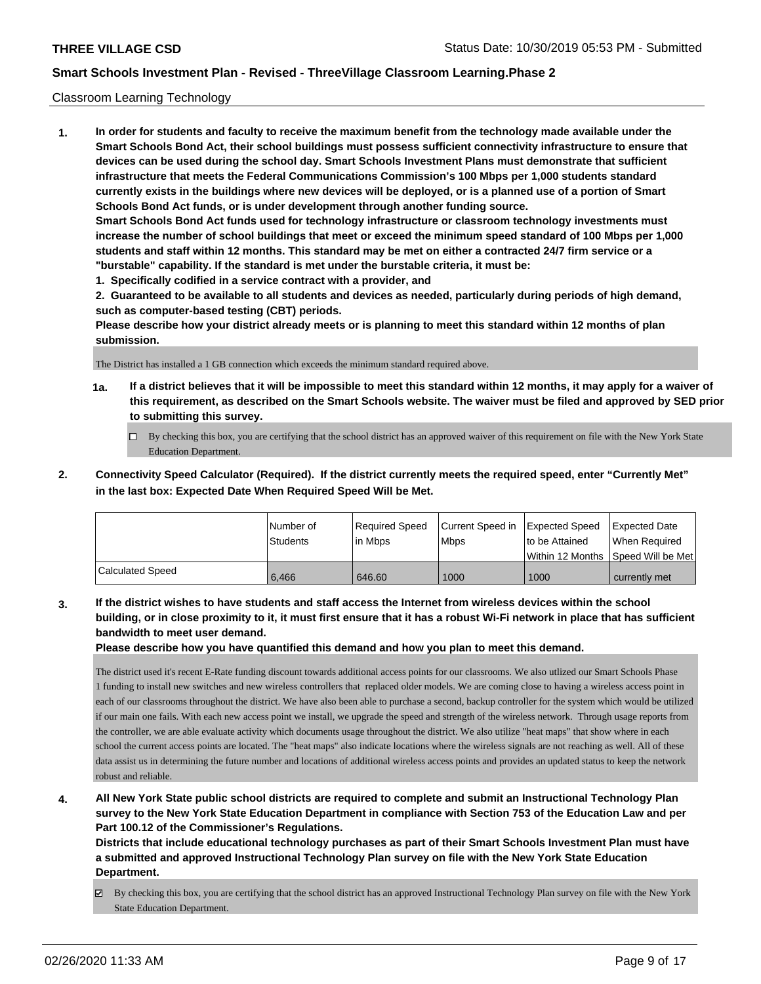### Classroom Learning Technology

**1. In order for students and faculty to receive the maximum benefit from the technology made available under the Smart Schools Bond Act, their school buildings must possess sufficient connectivity infrastructure to ensure that devices can be used during the school day. Smart Schools Investment Plans must demonstrate that sufficient infrastructure that meets the Federal Communications Commission's 100 Mbps per 1,000 students standard currently exists in the buildings where new devices will be deployed, or is a planned use of a portion of Smart Schools Bond Act funds, or is under development through another funding source. Smart Schools Bond Act funds used for technology infrastructure or classroom technology investments must increase the number of school buildings that meet or exceed the minimum speed standard of 100 Mbps per 1,000 students and staff within 12 months. This standard may be met on either a contracted 24/7 firm service or a "burstable" capability. If the standard is met under the burstable criteria, it must be:**

**1. Specifically codified in a service contract with a provider, and**

**2. Guaranteed to be available to all students and devices as needed, particularly during periods of high demand, such as computer-based testing (CBT) periods.**

**Please describe how your district already meets or is planning to meet this standard within 12 months of plan submission.**

The District has installed a 1 GB connection which exceeds the minimum standard required above.

- **1a. If a district believes that it will be impossible to meet this standard within 12 months, it may apply for a waiver of this requirement, as described on the Smart Schools website. The waiver must be filed and approved by SED prior to submitting this survey.**
	- By checking this box, you are certifying that the school district has an approved waiver of this requirement on file with the New York State Education Department.
- **2. Connectivity Speed Calculator (Required). If the district currently meets the required speed, enter "Currently Met" in the last box: Expected Date When Required Speed Will be Met.**

|                         | l Number of     | Required Speed | Current Speed in | Expected Speed | <b>Expected Date</b>                    |
|-------------------------|-----------------|----------------|------------------|----------------|-----------------------------------------|
|                         | <b>Students</b> | lin Mbps       | <b>Mbps</b>      | to be Attained | When Required                           |
|                         |                 |                |                  |                | l Within 12 Months ISpeed Will be Met l |
| <b>Calculated Speed</b> | 6.466           | 646.60         | 1000             | 1000           | currently met                           |

**3. If the district wishes to have students and staff access the Internet from wireless devices within the school building, or in close proximity to it, it must first ensure that it has a robust Wi-Fi network in place that has sufficient bandwidth to meet user demand.**

**Please describe how you have quantified this demand and how you plan to meet this demand.**

The district used it's recent E-Rate funding discount towards additional access points for our classrooms. We also utlized our Smart Schools Phase 1 funding to install new switches and new wireless controllers that replaced older models. We are coming close to having a wireless access point in each of our classrooms throughout the district. We have also been able to purchase a second, backup controller for the system which would be utilized if our main one fails. With each new access point we install, we upgrade the speed and strength of the wireless network. Through usage reports from the controller, we are able evaluate activity which documents usage throughout the district. We also utilize "heat maps" that show where in each school the current access points are located. The "heat maps" also indicate locations where the wireless signals are not reaching as well. All of these data assist us in determining the future number and locations of additional wireless access points and provides an updated status to keep the network robust and reliable.

# **4. All New York State public school districts are required to complete and submit an Instructional Technology Plan survey to the New York State Education Department in compliance with Section 753 of the Education Law and per Part 100.12 of the Commissioner's Regulations.**

**Districts that include educational technology purchases as part of their Smart Schools Investment Plan must have a submitted and approved Instructional Technology Plan survey on file with the New York State Education Department.**

By checking this box, you are certifying that the school district has an approved Instructional Technology Plan survey on file with the New York State Education Department.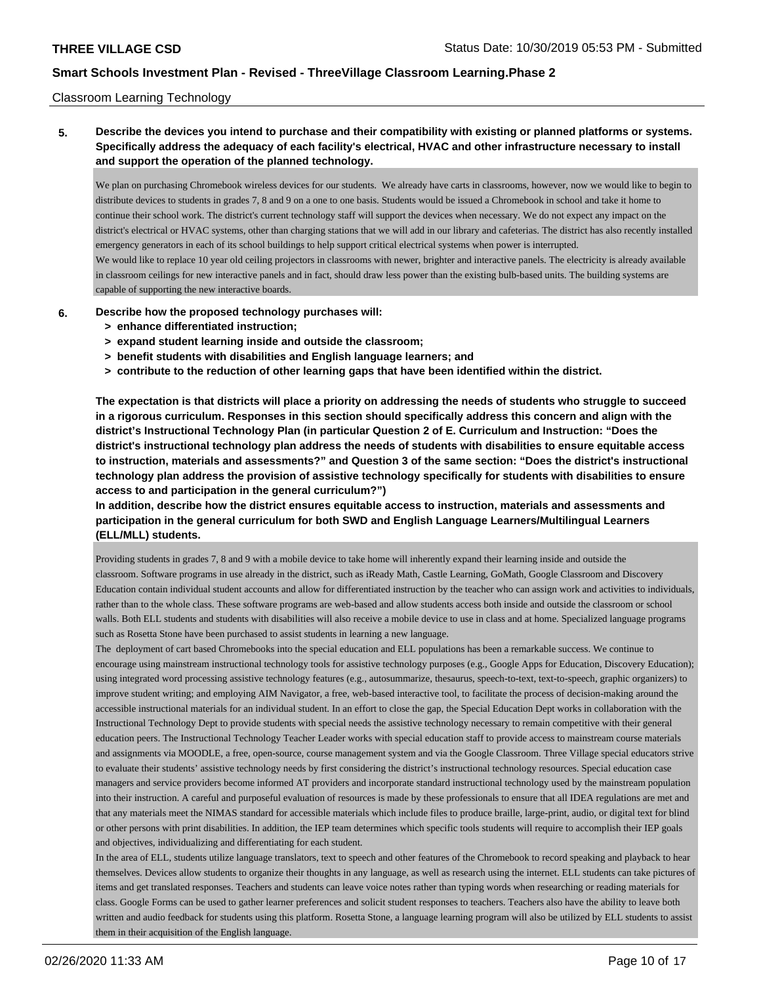### Classroom Learning Technology

**5. Describe the devices you intend to purchase and their compatibility with existing or planned platforms or systems. Specifically address the adequacy of each facility's electrical, HVAC and other infrastructure necessary to install and support the operation of the planned technology.**

We plan on purchasing Chromebook wireless devices for our students. We already have carts in classrooms, however, now we would like to begin to distribute devices to students in grades 7, 8 and 9 on a one to one basis. Students would be issued a Chromebook in school and take it home to continue their school work. The district's current technology staff will support the devices when necessary. We do not expect any impact on the district's electrical or HVAC systems, other than charging stations that we will add in our library and cafeterias. The district has also recently installed emergency generators in each of its school buildings to help support critical electrical systems when power is interrupted. We would like to replace 10 year old ceiling projectors in classrooms with newer, brighter and interactive panels. The electricity is already available in classroom ceilings for new interactive panels and in fact, should draw less power than the existing bulb-based units. The building systems are capable of supporting the new interactive boards.

- **6. Describe how the proposed technology purchases will:**
	- **> enhance differentiated instruction;**
	- **> expand student learning inside and outside the classroom;**
	- **> benefit students with disabilities and English language learners; and**
	- **> contribute to the reduction of other learning gaps that have been identified within the district.**

**The expectation is that districts will place a priority on addressing the needs of students who struggle to succeed in a rigorous curriculum. Responses in this section should specifically address this concern and align with the district's Instructional Technology Plan (in particular Question 2 of E. Curriculum and Instruction: "Does the district's instructional technology plan address the needs of students with disabilities to ensure equitable access to instruction, materials and assessments?" and Question 3 of the same section: "Does the district's instructional technology plan address the provision of assistive technology specifically for students with disabilities to ensure access to and participation in the general curriculum?")**

**In addition, describe how the district ensures equitable access to instruction, materials and assessments and participation in the general curriculum for both SWD and English Language Learners/Multilingual Learners (ELL/MLL) students.**

Providing students in grades 7, 8 and 9 with a mobile device to take home will inherently expand their learning inside and outside the classroom. Software programs in use already in the district, such as iReady Math, Castle Learning, GoMath, Google Classroom and Discovery Education contain individual student accounts and allow for differentiated instruction by the teacher who can assign work and activities to individuals, rather than to the whole class. These software programs are web-based and allow students access both inside and outside the classroom or school walls. Both ELL students and students with disabilities will also receive a mobile device to use in class and at home. Specialized language programs such as Rosetta Stone have been purchased to assist students in learning a new language.

The deployment of cart based Chromebooks into the special education and ELL populations has been a remarkable success. We continue to encourage using mainstream instructional technology tools for assistive technology purposes (e.g., Google Apps for Education, Discovery Education); using integrated word processing assistive technology features (e.g., autosummarize, thesaurus, speech-to-text, text-to-speech, graphic organizers) to improve student writing; and employing AIM Navigator, a free, web-based interactive tool, to facilitate the process of decision-making around the accessible instructional materials for an individual student. In an effort to close the gap, the Special Education Dept works in collaboration with the Instructional Technology Dept to provide students with special needs the assistive technology necessary to remain competitive with their general education peers. The Instructional Technology Teacher Leader works with special education staff to provide access to mainstream course materials and assignments via MOODLE, a free, open-source, course management system and via the Google Classroom. Three Village special educators strive to evaluate their students' assistive technology needs by first considering the district's instructional technology resources. Special education case managers and service providers become informed AT providers and incorporate standard instructional technology used by the mainstream population into their instruction. A careful and purposeful evaluation of resources is made by these professionals to ensure that all IDEA regulations are met and that any materials meet the NIMAS standard for accessible materials which include files to produce braille, large-print, audio, or digital text for blind or other persons with print disabilities. In addition, the IEP team determines which specific tools students will require to accomplish their IEP goals and objectives, individualizing and differentiating for each student.

In the area of ELL, students utilize language translators, text to speech and other features of the Chromebook to record speaking and playback to hear themselves. Devices allow students to organize their thoughts in any language, as well as research using the internet. ELL students can take pictures of items and get translated responses. Teachers and students can leave voice notes rather than typing words when researching or reading materials for class. Google Forms can be used to gather learner preferences and solicit student responses to teachers. Teachers also have the ability to leave both written and audio feedback for students using this platform. Rosetta Stone, a language learning program will also be utilized by ELL students to assist them in their acquisition of the English language.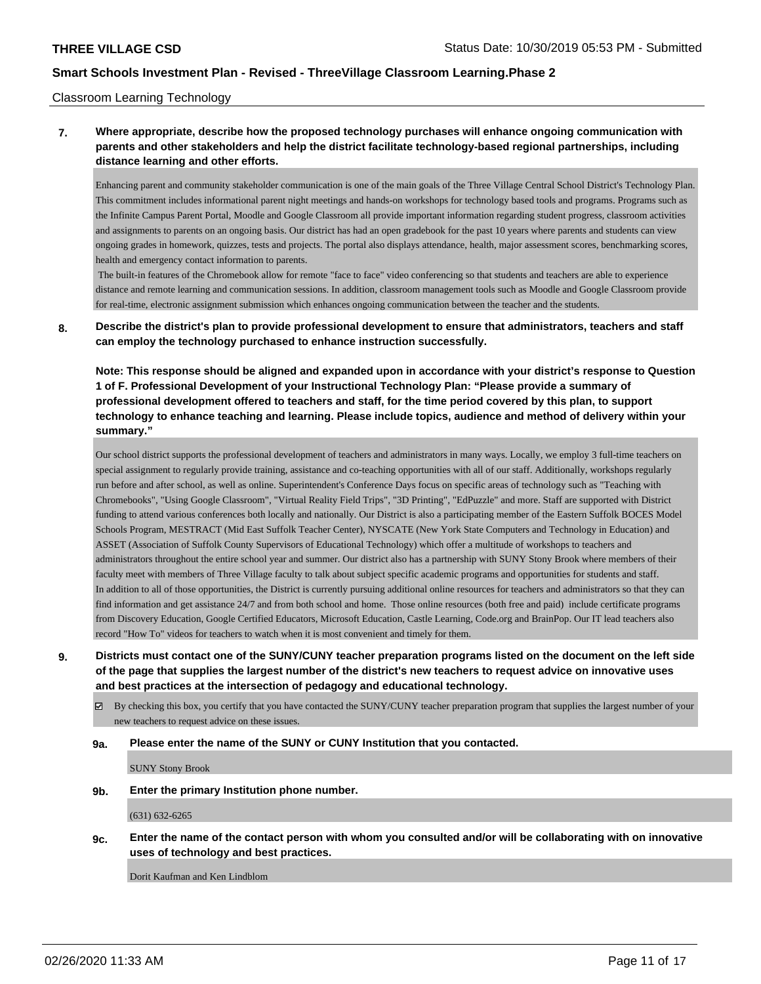### Classroom Learning Technology

# **7. Where appropriate, describe how the proposed technology purchases will enhance ongoing communication with parents and other stakeholders and help the district facilitate technology-based regional partnerships, including distance learning and other efforts.**

Enhancing parent and community stakeholder communication is one of the main goals of the Three Village Central School District's Technology Plan. This commitment includes informational parent night meetings and hands-on workshops for technology based tools and programs. Programs such as the Infinite Campus Parent Portal, Moodle and Google Classroom all provide important information regarding student progress, classroom activities and assignments to parents on an ongoing basis. Our district has had an open gradebook for the past 10 years where parents and students can view ongoing grades in homework, quizzes, tests and projects. The portal also displays attendance, health, major assessment scores, benchmarking scores, health and emergency contact information to parents.

 The built-in features of the Chromebook allow for remote "face to face" video conferencing so that students and teachers are able to experience distance and remote learning and communication sessions. In addition, classroom management tools such as Moodle and Google Classroom provide for real-time, electronic assignment submission which enhances ongoing communication between the teacher and the students.

## **8. Describe the district's plan to provide professional development to ensure that administrators, teachers and staff can employ the technology purchased to enhance instruction successfully.**

**Note: This response should be aligned and expanded upon in accordance with your district's response to Question 1 of F. Professional Development of your Instructional Technology Plan: "Please provide a summary of professional development offered to teachers and staff, for the time period covered by this plan, to support technology to enhance teaching and learning. Please include topics, audience and method of delivery within your summary."**

Our school district supports the professional development of teachers and administrators in many ways. Locally, we employ 3 full-time teachers on special assignment to regularly provide training, assistance and co-teaching opportunities with all of our staff. Additionally, workshops regularly run before and after school, as well as online. Superintendent's Conference Days focus on specific areas of technology such as "Teaching with Chromebooks", "Using Google Classroom", "Virtual Reality Field Trips", "3D Printing", "EdPuzzle" and more. Staff are supported with District funding to attend various conferences both locally and nationally. Our District is also a participating member of the Eastern Suffolk BOCES Model Schools Program, MESTRACT (Mid East Suffolk Teacher Center), NYSCATE (New York State Computers and Technology in Education) and ASSET (Association of Suffolk County Supervisors of Educational Technology) which offer a multitude of workshops to teachers and administrators throughout the entire school year and summer. Our district also has a partnership with SUNY Stony Brook where members of their faculty meet with members of Three Village faculty to talk about subject specific academic programs and opportunities for students and staff. In addition to all of those opportunities, the District is currently pursuing additional online resources for teachers and administrators so that they can find information and get assistance 24/7 and from both school and home. Those online resources (both free and paid) include certificate programs from Discovery Education, Google Certified Educators, Microsoft Education, Castle Learning, Code.org and BrainPop. Our IT lead teachers also record "How To" videos for teachers to watch when it is most convenient and timely for them.

**9. Districts must contact one of the SUNY/CUNY teacher preparation programs listed on the document on the left side of the page that supplies the largest number of the district's new teachers to request advice on innovative uses and best practices at the intersection of pedagogy and educational technology.**

 $\boxtimes$  By checking this box, you certify that you have contacted the SUNY/CUNY teacher preparation program that supplies the largest number of your new teachers to request advice on these issues.

#### **9a. Please enter the name of the SUNY or CUNY Institution that you contacted.**

SUNY Stony Brook

#### **9b. Enter the primary Institution phone number.**

(631) 632-6265

**9c. Enter the name of the contact person with whom you consulted and/or will be collaborating with on innovative uses of technology and best practices.**

Dorit Kaufman and Ken Lindblom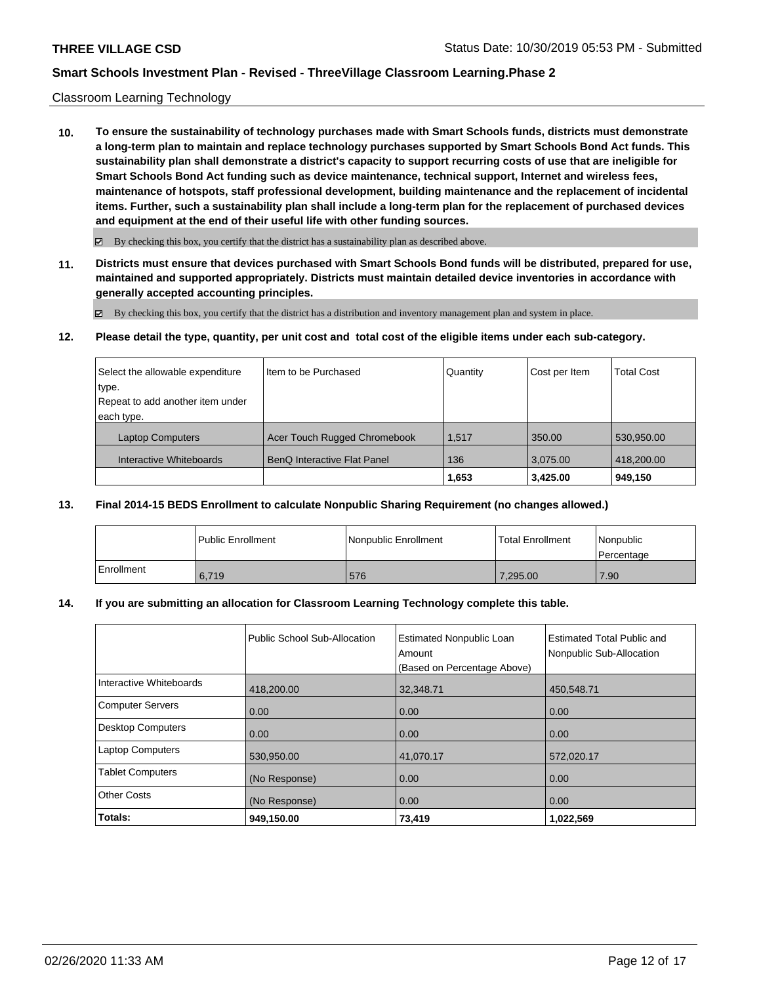### Classroom Learning Technology

**10. To ensure the sustainability of technology purchases made with Smart Schools funds, districts must demonstrate a long-term plan to maintain and replace technology purchases supported by Smart Schools Bond Act funds. This sustainability plan shall demonstrate a district's capacity to support recurring costs of use that are ineligible for Smart Schools Bond Act funding such as device maintenance, technical support, Internet and wireless fees, maintenance of hotspots, staff professional development, building maintenance and the replacement of incidental items. Further, such a sustainability plan shall include a long-term plan for the replacement of purchased devices and equipment at the end of their useful life with other funding sources.**

 $\boxtimes$  By checking this box, you certify that the district has a sustainability plan as described above.

**11. Districts must ensure that devices purchased with Smart Schools Bond funds will be distributed, prepared for use, maintained and supported appropriately. Districts must maintain detailed device inventories in accordance with generally accepted accounting principles.**

By checking this box, you certify that the district has a distribution and inventory management plan and system in place.

**12. Please detail the type, quantity, per unit cost and total cost of the eligible items under each sub-category.**

| Select the allowable expenditure | Item to be Purchased                | Quantity | Cost per Item | <b>Total Cost</b> |
|----------------------------------|-------------------------------------|----------|---------------|-------------------|
| type.                            |                                     |          |               |                   |
| Repeat to add another item under |                                     |          |               |                   |
| each type.                       |                                     |          |               |                   |
| <b>Laptop Computers</b>          | <b>Acer Touch Rugged Chromebook</b> | 1,517    | 350.00        | 530,950.00        |
| Interactive Whiteboards          | BenQ Interactive Flat Panel         | 136      | 3.075.00      | 418,200.00        |
|                                  |                                     | 1,653    | 3,425.00      | 949,150           |

#### **13. Final 2014-15 BEDS Enrollment to calculate Nonpublic Sharing Requirement (no changes allowed.)**

|            | l Public Enrollment | Nonpublic Enrollment | <b>Total Enrollment</b> | Nonpublic<br>Percentage |
|------------|---------------------|----------------------|-------------------------|-------------------------|
| Enrollment | 6.719               | 576                  | 7,295.00                | 7.90                    |

### **14. If you are submitting an allocation for Classroom Learning Technology complete this table.**

|                          | Public School Sub-Allocation | <b>Estimated Nonpublic Loan</b><br>Amount<br>(Based on Percentage Above) | <b>Estimated Total Public and</b><br>Nonpublic Sub-Allocation |
|--------------------------|------------------------------|--------------------------------------------------------------------------|---------------------------------------------------------------|
| Interactive Whiteboards  | 418,200.00                   | 32,348.71                                                                | 450,548.71                                                    |
| <b>Computer Servers</b>  | 0.00                         | 0.00                                                                     | 0.00                                                          |
| <b>Desktop Computers</b> | 0.00                         | 0.00                                                                     | 0.00                                                          |
| <b>Laptop Computers</b>  | 530,950.00                   | 41,070.17                                                                | 572,020.17                                                    |
| <b>Tablet Computers</b>  | (No Response)                | 0.00                                                                     | 0.00                                                          |
| <b>Other Costs</b>       | (No Response)                | 0.00                                                                     | 0.00                                                          |
| Totals:                  | 949,150.00                   | 73,419                                                                   | 1.022,569                                                     |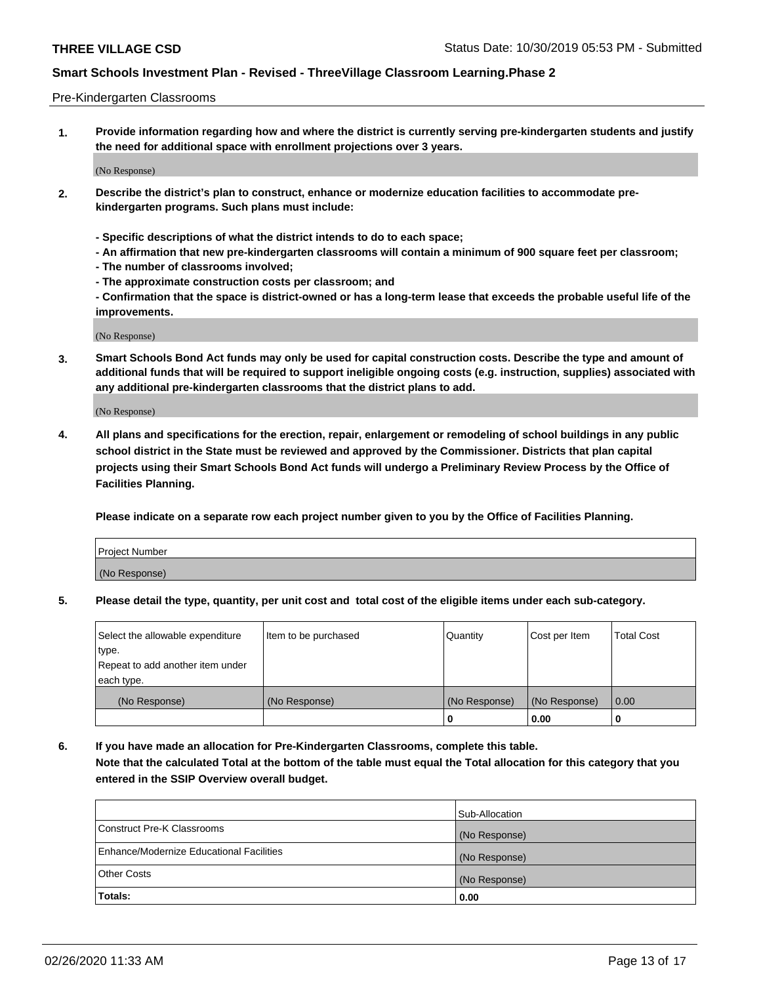### Pre-Kindergarten Classrooms

**1. Provide information regarding how and where the district is currently serving pre-kindergarten students and justify the need for additional space with enrollment projections over 3 years.**

(No Response)

- **2. Describe the district's plan to construct, enhance or modernize education facilities to accommodate prekindergarten programs. Such plans must include:**
	- **Specific descriptions of what the district intends to do to each space;**
	- **An affirmation that new pre-kindergarten classrooms will contain a minimum of 900 square feet per classroom;**
	- **The number of classrooms involved;**
	- **The approximate construction costs per classroom; and**
	- **Confirmation that the space is district-owned or has a long-term lease that exceeds the probable useful life of the improvements.**

(No Response)

**3. Smart Schools Bond Act funds may only be used for capital construction costs. Describe the type and amount of additional funds that will be required to support ineligible ongoing costs (e.g. instruction, supplies) associated with any additional pre-kindergarten classrooms that the district plans to add.**

(No Response)

**4. All plans and specifications for the erection, repair, enlargement or remodeling of school buildings in any public school district in the State must be reviewed and approved by the Commissioner. Districts that plan capital projects using their Smart Schools Bond Act funds will undergo a Preliminary Review Process by the Office of Facilities Planning.**

**Please indicate on a separate row each project number given to you by the Office of Facilities Planning.**

| Project Number |  |
|----------------|--|
| (No Response)  |  |
|                |  |

**5. Please detail the type, quantity, per unit cost and total cost of the eligible items under each sub-category.**

| Select the allowable expenditure | Item to be purchased | Quantity      | Cost per Item | <b>Total Cost</b> |
|----------------------------------|----------------------|---------------|---------------|-------------------|
| type.                            |                      |               |               |                   |
| Repeat to add another item under |                      |               |               |                   |
| each type.                       |                      |               |               |                   |
| (No Response)                    | (No Response)        | (No Response) | (No Response) | 0.00              |
|                                  |                      | U             | 0.00          |                   |

**6. If you have made an allocation for Pre-Kindergarten Classrooms, complete this table. Note that the calculated Total at the bottom of the table must equal the Total allocation for this category that you entered in the SSIP Overview overall budget.**

|                                          | Sub-Allocation |
|------------------------------------------|----------------|
| Construct Pre-K Classrooms               | (No Response)  |
| Enhance/Modernize Educational Facilities | (No Response)  |
| <b>Other Costs</b>                       | (No Response)  |
| Totals:                                  | 0.00           |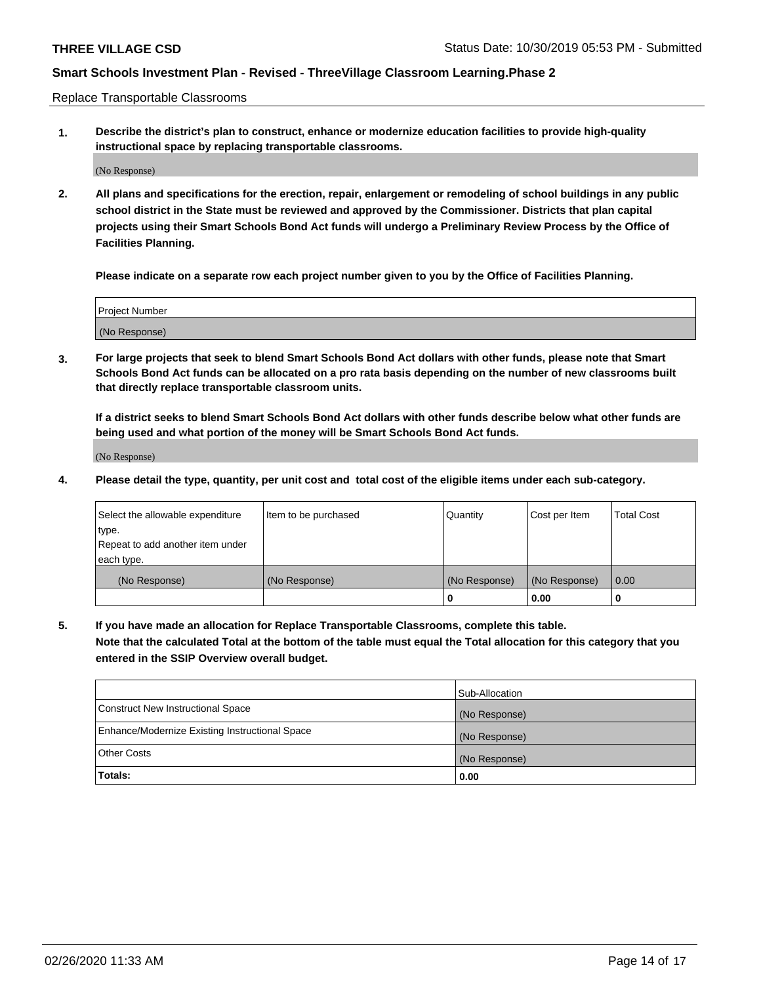Replace Transportable Classrooms

**1. Describe the district's plan to construct, enhance or modernize education facilities to provide high-quality instructional space by replacing transportable classrooms.**

(No Response)

**2. All plans and specifications for the erection, repair, enlargement or remodeling of school buildings in any public school district in the State must be reviewed and approved by the Commissioner. Districts that plan capital projects using their Smart Schools Bond Act funds will undergo a Preliminary Review Process by the Office of Facilities Planning.**

**Please indicate on a separate row each project number given to you by the Office of Facilities Planning.**

| Project Number |  |
|----------------|--|
|                |  |
| (No Response)  |  |

**3. For large projects that seek to blend Smart Schools Bond Act dollars with other funds, please note that Smart Schools Bond Act funds can be allocated on a pro rata basis depending on the number of new classrooms built that directly replace transportable classroom units.**

**If a district seeks to blend Smart Schools Bond Act dollars with other funds describe below what other funds are being used and what portion of the money will be Smart Schools Bond Act funds.**

(No Response)

**4. Please detail the type, quantity, per unit cost and total cost of the eligible items under each sub-category.**

| Select the allowable expenditure           | Item to be purchased | Quantity      | Cost per Item | <b>Total Cost</b> |
|--------------------------------------------|----------------------|---------------|---------------|-------------------|
| ∣type.<br>Repeat to add another item under |                      |               |               |                   |
| each type.                                 |                      |               |               |                   |
| (No Response)                              | (No Response)        | (No Response) | (No Response) | 0.00              |
|                                            |                      | 0             | 0.00          |                   |

**5. If you have made an allocation for Replace Transportable Classrooms, complete this table. Note that the calculated Total at the bottom of the table must equal the Total allocation for this category that you entered in the SSIP Overview overall budget.**

|                                                | Sub-Allocation |
|------------------------------------------------|----------------|
| Construct New Instructional Space              | (No Response)  |
| Enhance/Modernize Existing Instructional Space | (No Response)  |
| Other Costs                                    | (No Response)  |
| Totals:                                        | 0.00           |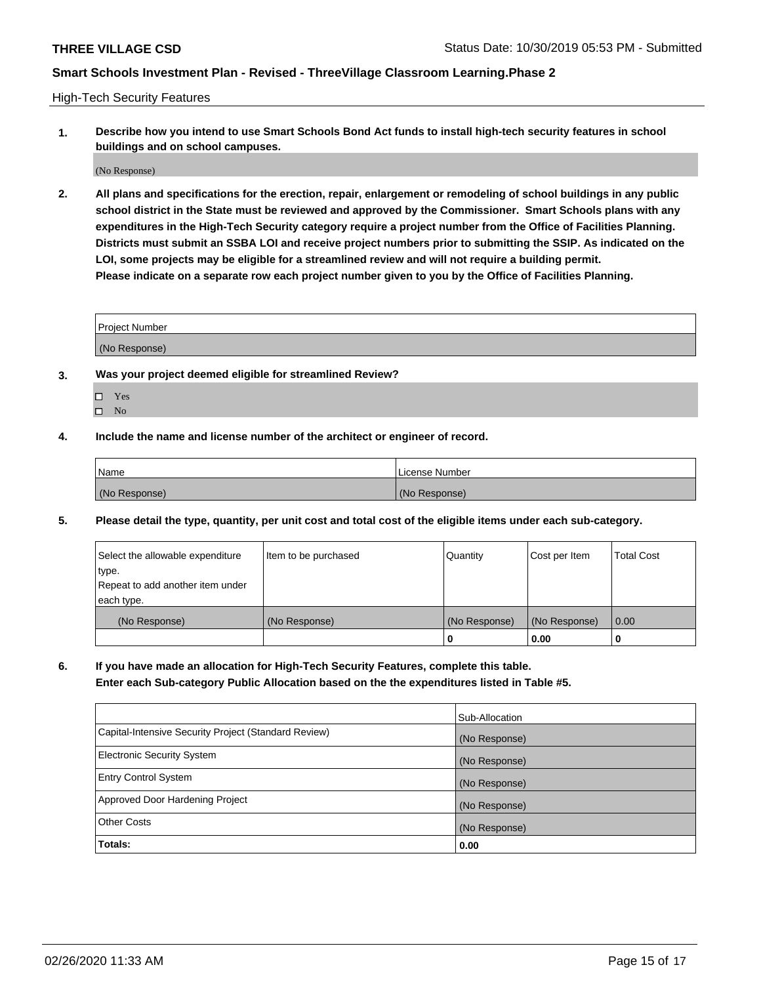High-Tech Security Features

**1. Describe how you intend to use Smart Schools Bond Act funds to install high-tech security features in school buildings and on school campuses.**

(No Response)

**2. All plans and specifications for the erection, repair, enlargement or remodeling of school buildings in any public school district in the State must be reviewed and approved by the Commissioner. Smart Schools plans with any expenditures in the High-Tech Security category require a project number from the Office of Facilities Planning. Districts must submit an SSBA LOI and receive project numbers prior to submitting the SSIP. As indicated on the LOI, some projects may be eligible for a streamlined review and will not require a building permit. Please indicate on a separate row each project number given to you by the Office of Facilities Planning.**

| <b>Project Number</b> |  |
|-----------------------|--|
| (No Response)         |  |

- **3. Was your project deemed eligible for streamlined Review?**
	- Yes
	- $\hfill \Box$  No
- **4. Include the name and license number of the architect or engineer of record.**

| <b>Name</b>   | License Number |
|---------------|----------------|
| (No Response) | (No Response)  |

**5. Please detail the type, quantity, per unit cost and total cost of the eligible items under each sub-category.**

| Select the allowable expenditure | Item to be purchased | Quantity      | Cost per Item | <b>Total Cost</b> |
|----------------------------------|----------------------|---------------|---------------|-------------------|
| 'type.                           |                      |               |               |                   |
| Repeat to add another item under |                      |               |               |                   |
| each type.                       |                      |               |               |                   |
| (No Response)                    | (No Response)        | (No Response) | (No Response) | 0.00              |
|                                  |                      | U             | 0.00          |                   |

**6. If you have made an allocation for High-Tech Security Features, complete this table.**

**Enter each Sub-category Public Allocation based on the the expenditures listed in Table #5.**

|                                                      | Sub-Allocation |
|------------------------------------------------------|----------------|
| Capital-Intensive Security Project (Standard Review) | (No Response)  |
| <b>Electronic Security System</b>                    | (No Response)  |
| <b>Entry Control System</b>                          | (No Response)  |
| Approved Door Hardening Project                      | (No Response)  |
| <b>Other Costs</b>                                   | (No Response)  |
| Totals:                                              | 0.00           |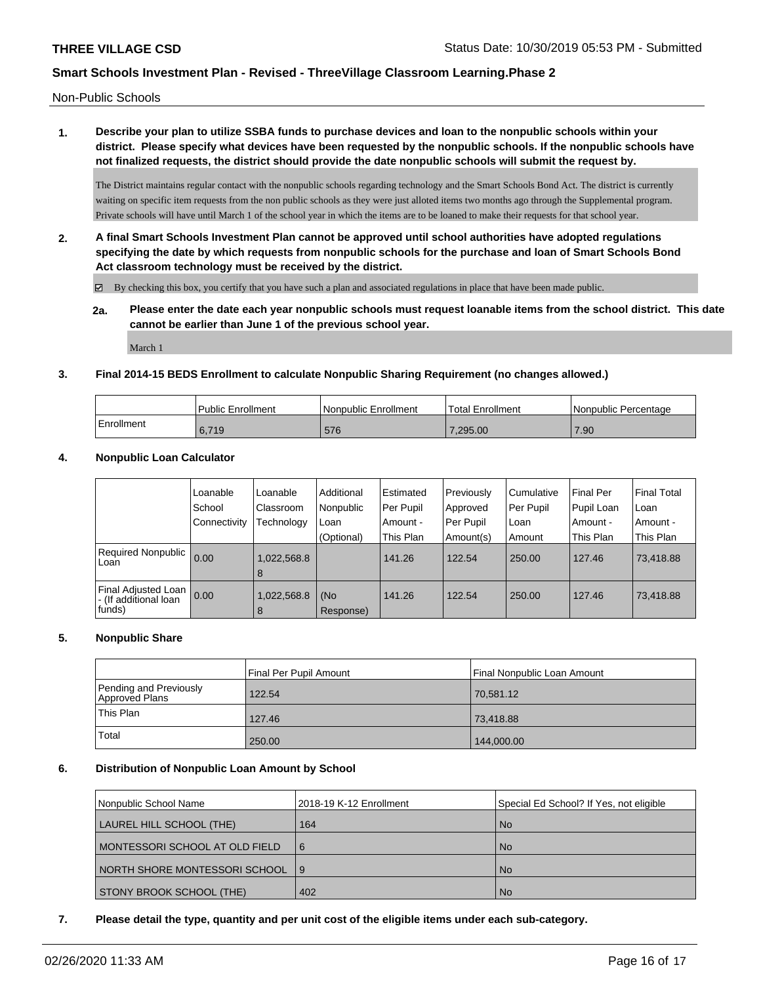Non-Public Schools

**1. Describe your plan to utilize SSBA funds to purchase devices and loan to the nonpublic schools within your district. Please specify what devices have been requested by the nonpublic schools. If the nonpublic schools have not finalized requests, the district should provide the date nonpublic schools will submit the request by.**

The District maintains regular contact with the nonpublic schools regarding technology and the Smart Schools Bond Act. The district is currently waiting on specific item requests from the non public schools as they were just alloted items two months ago through the Supplemental program. Private schools will have until March 1 of the school year in which the items are to be loaned to make their requests for that school year.

**2. A final Smart Schools Investment Plan cannot be approved until school authorities have adopted regulations specifying the date by which requests from nonpublic schools for the purchase and loan of Smart Schools Bond Act classroom technology must be received by the district.**

By checking this box, you certify that you have such a plan and associated regulations in place that have been made public.

**2a. Please enter the date each year nonpublic schools must request loanable items from the school district. This date cannot be earlier than June 1 of the previous school year.**

March 1

### **3. Final 2014-15 BEDS Enrollment to calculate Nonpublic Sharing Requirement (no changes allowed.)**

|            | Public Enrollment | Nonpublic Enrollment | 'Total Enrollment | Nonpublic Percentage |
|------------|-------------------|----------------------|-------------------|----------------------|
| Enrollment | 6.719             | 576                  | .295.00           | 7.90                 |

### **4. Nonpublic Loan Calculator**

|                                                          | Loanable<br>School | Loanable<br>Classroom | Additional<br>Nonpublic | i Estimated<br>Per Pupil | Previously<br>Approved | l Cumulative<br>Per Pupil | Final Per<br>Pupil Loan | l Final Total<br>l Loan |
|----------------------------------------------------------|--------------------|-----------------------|-------------------------|--------------------------|------------------------|---------------------------|-------------------------|-------------------------|
|                                                          | Connectivity       | Technology            | Loan                    | Amount -                 | Per Pupil              | l Loan                    | i Amount -              | l Amount -              |
|                                                          |                    |                       | (Optional)              | This Plan                | Amount(s)              | Amount                    | This Plan               | This Plan               |
| Required Nonpublic<br>Loan                               | 0.00               | 1,022,568.8<br>8      |                         | 141.26                   | 122.54                 | 250.00                    | 127.46                  | 73,418.88               |
| Final Adjusted Loan  <br>- (If additional loan<br>funds) | 0.00               | 1,022,568.8<br>8      | (No<br>Response)        | 141.26                   | 122.54                 | 250.00                    | 127.46                  | 73,418.88               |

#### **5. Nonpublic Share**

|                                          | Final Per Pupil Amount | Final Nonpublic Loan Amount |
|------------------------------------------|------------------------|-----------------------------|
| Pending and Previously<br>Approved Plans | 122.54                 | 70,581.12                   |
| This Plan                                | 127.46                 | 73,418.88                   |
| Total                                    | 250.00                 | 144,000.00                  |

## **6. Distribution of Nonpublic Loan Amount by School**

| Nonpublic School Name          | 2018-19 K-12 Enrollment | Special Ed School? If Yes, not eligible |
|--------------------------------|-------------------------|-----------------------------------------|
| LAUREL HILL SCHOOL (THE)       | 164                     | <b>No</b>                               |
| MONTESSORI SCHOOL AT OLD FIELD | 16                      | <b>No</b>                               |
| NORTH SHORE MONTESSORI SCHOOL  | $\overline{19}$         | <b>No</b>                               |
| STONY BROOK SCHOOL (THE)       | 402                     | <b>No</b>                               |

### **7. Please detail the type, quantity and per unit cost of the eligible items under each sub-category.**